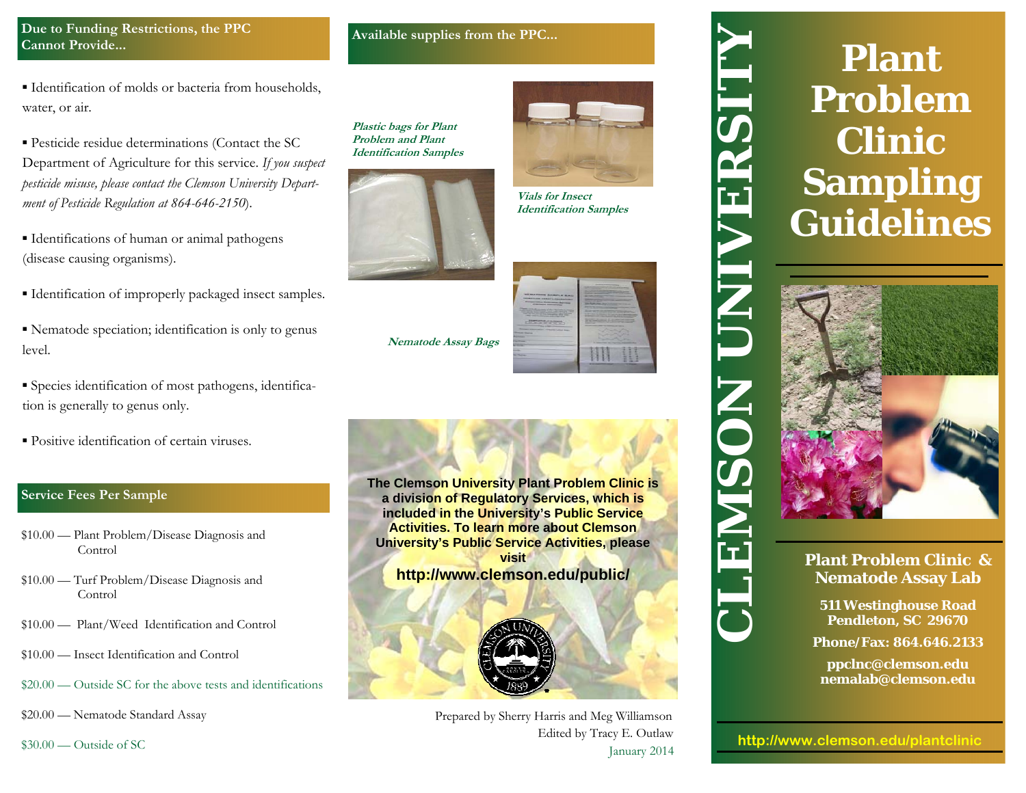## **Due to Funding Restrictions, the PPC Cannot Provide...**

▪ Identification of molds or bacteria from households, water, or air.

▪ Pesticide residue determinations (Contact the SC Department of Agriculture for this service. *If you suspect pesticide misuse, please contact the Clemson University Department of Pesticide Regulation at 864-646-2150*).

- Identifications of human or animal pathogens (disease causing organisms).
- Identification of improperly packaged insect samples.
- Nematode speciation; identification is only to genus level.
- Species identification of most pathogens, identification is generally to genus only.
- Positive identification of certain viruses.

# **Service Fees Per Sample**

- 
- 
- 
- \$10.00 Insect Identification and Control
- \$20.00 Outside SC for the above tests and identifications

\$20.00 — Nematode Standard Assay

\$30.00 — Outside of SC



| <b>ALL REAL FOUND CLASSIFICAT STATES</b><br><b>MONARCH DE AGRAP LABORATIONS</b><br>the property of the company of the company<br>Committee Greenway Service<br><b>Continued Services</b><br>North Concession, National Assessment Concession, National Assessment Concession, National Assessment Concession, National Assessment Concession, National Assessment Concession, National Assessment Concession, National Ass<br>the property of the control of the control of the con-<br>the property that the party are the property of the con-<br>the product of the former and the con-<br>The course there are the course | ---------<br>the contract of the contract of the con-<br>the company's state of the company's<br>________<br><b>Commercial Science</b><br><b>Contract Contract Contract</b><br>the property of the control of the con-<br>the property of the control of<br>the property of the control of the con-<br><b>Contract of the Contract of Contract of the Contract of Contract of Contract of Contract of Contract of Contract of Contract of Contract of Contract of Contract of Contract of Contract of Contract of Contract of Contract </b><br>____<br>The Party and The Party Trees of the United States<br>and the property of the control of<br>Statement when the control of the con-<br><b>Printed Committee Committee</b><br>the property of the property company of the<br><b>Contract Construction Contract Construction Construction Construction</b><br>the private the determination of the company<br>the property of the control and the property of the con-<br>the property of the form of the following<br>Northern Corp. and the Corp. and Corp. and Corp.<br>the property of the control of the con-<br>the last to sell the control of the control of the control<br>__<br>________ |
|-------------------------------------------------------------------------------------------------------------------------------------------------------------------------------------------------------------------------------------------------------------------------------------------------------------------------------------------------------------------------------------------------------------------------------------------------------------------------------------------------------------------------------------------------------------------------------------------------------------------------------|--------------------------------------------------------------------------------------------------------------------------------------------------------------------------------------------------------------------------------------------------------------------------------------------------------------------------------------------------------------------------------------------------------------------------------------------------------------------------------------------------------------------------------------------------------------------------------------------------------------------------------------------------------------------------------------------------------------------------------------------------------------------------------------------------------------------------------------------------------------------------------------------------------------------------------------------------------------------------------------------------------------------------------------------------------------------------------------------------------------------------------------------------------------------------------------------------------|
| <b>Christmas Antiquitation Collection Anti-</b><br><b>The Company's Company's</b><br><b>State Color</b><br>___<br>_                                                                                                                                                                                                                                                                                                                                                                                                                                                                                                           | _<br>٠<br>______                                                                                                                                                                                                                                                                                                                                                                                                                                                                                                                                                                                                                                                                                                                                                                                                                                                                                                                                                                                                                                                                                                                                                                                       |



Prepared by Sherry Harris and Meg Williamson Edited by Tracy E. Outlaw January 2014



# **Plant Problem Clinic & Nematode Assay Lab**



**Phone/Fax: 864.646.2133** 

**ppclnc@clemson.edu nemalab@clemson.edu**